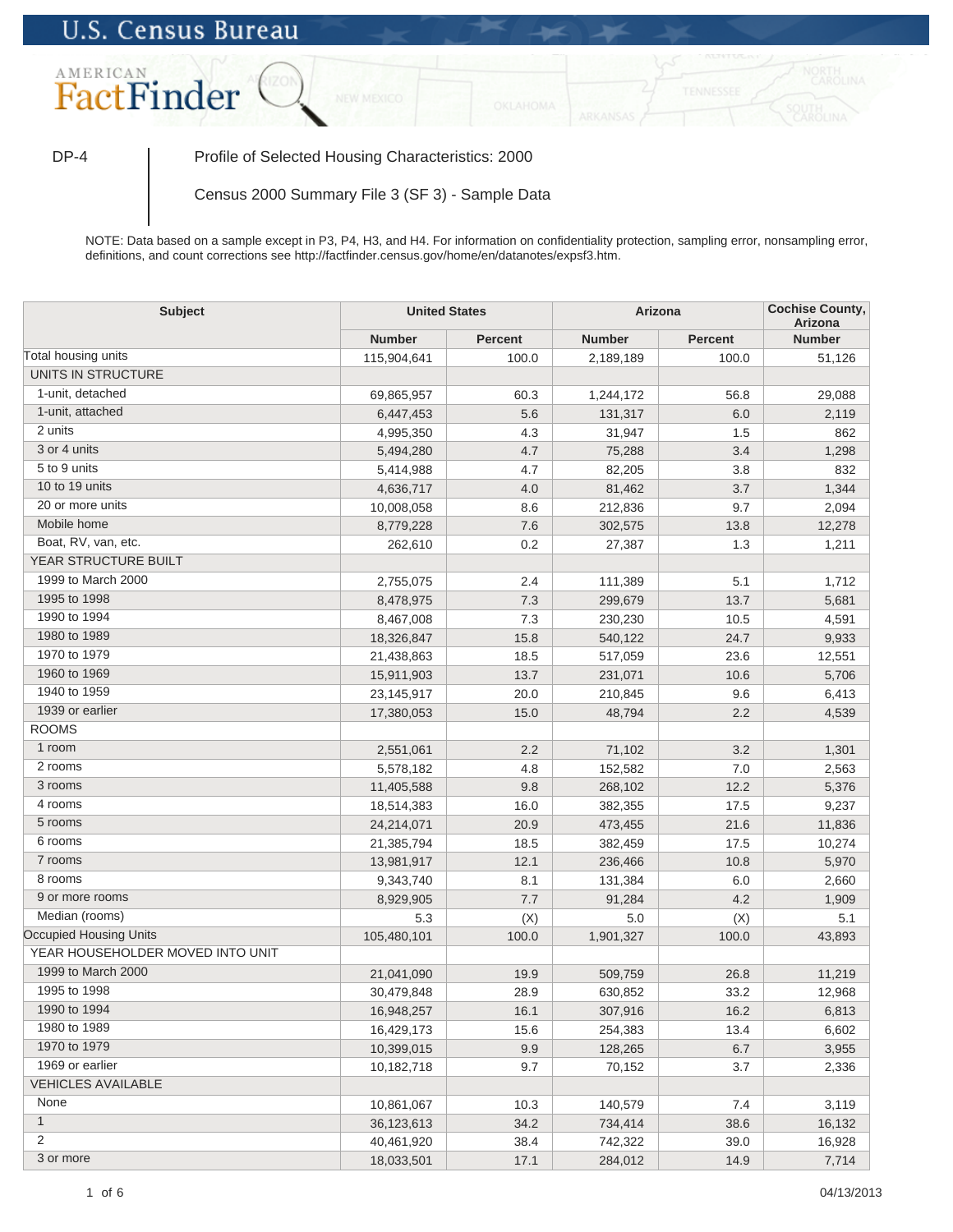## **U.S. Census Bureau**



DP-4 Profile of Selected Housing Characteristics: 2000

Census 2000 Summary File 3 (SF 3) - Sample Data

NOTE: Data based on a sample except in P3, P4, H3, and H4. For information on confidentiality protection, sampling error, nonsampling error, definitions, and count corrections see http://factfinder.census.gov/home/en/datanotes/expsf3.htm.

| <b>Subject</b>                   | <b>United States</b> |                | Arizona       |                | <b>Cochise County,</b><br>Arizona |  |
|----------------------------------|----------------------|----------------|---------------|----------------|-----------------------------------|--|
|                                  | <b>Number</b>        | <b>Percent</b> | <b>Number</b> | <b>Percent</b> | <b>Number</b>                     |  |
| Total housing units              | 115,904,641          | 100.0          | 2,189,189     | 100.0          | 51,126                            |  |
| UNITS IN STRUCTURE               |                      |                |               |                |                                   |  |
| 1-unit, detached                 | 69,865,957           | 60.3           | 1,244,172     | 56.8           | 29,088                            |  |
| 1-unit, attached                 | 6,447,453            | 5.6            | 131,317       | 6.0            | 2,119                             |  |
| 2 units                          | 4,995,350            | 4.3            | 31,947        | 1.5            | 862                               |  |
| 3 or 4 units                     | 5,494,280            | 4.7            | 75,288        | 3.4            | 1,298                             |  |
| 5 to 9 units                     | 5,414,988            | 4.7            | 82,205        | 3.8            | 832                               |  |
| 10 to 19 units                   | 4,636,717            | 4.0            | 81,462        | 3.7            | 1,344                             |  |
| 20 or more units                 | 10,008,058           | 8.6            | 212,836       | 9.7            | 2,094                             |  |
| Mobile home                      | 8,779,228            | 7.6            | 302,575       | 13.8           | 12,278                            |  |
| Boat, RV, van, etc.              | 262,610              | 0.2            | 27,387        | 1.3            | 1,211                             |  |
| YEAR STRUCTURE BUILT             |                      |                |               |                |                                   |  |
| 1999 to March 2000               | 2,755,075            | 2.4            | 111,389       | 5.1            | 1,712                             |  |
| 1995 to 1998                     | 8,478,975            | 7.3            | 299,679       | 13.7           | 5,681                             |  |
| 1990 to 1994                     | 8,467,008            | 7.3            | 230,230       | 10.5           | 4,591                             |  |
| 1980 to 1989                     | 18,326,847           | 15.8           | 540,122       | 24.7           | 9,933                             |  |
| 1970 to 1979                     | 21,438,863           | 18.5           | 517,059       | 23.6           | 12,551                            |  |
| 1960 to 1969                     | 15,911,903           | 13.7           | 231,071       | 10.6           | 5,706                             |  |
| 1940 to 1959                     | 23,145,917           | 20.0           | 210,845       | 9.6            | 6,413                             |  |
| 1939 or earlier                  | 17,380,053           | 15.0           | 48,794        | 2.2            | 4,539                             |  |
| <b>ROOMS</b>                     |                      |                |               |                |                                   |  |
| 1 room                           | 2,551,061            | 2.2            | 71,102        | 3.2            | 1,301                             |  |
| 2 rooms                          | 5,578,182            | 4.8            | 152,582       | 7.0            | 2,563                             |  |
| 3 rooms                          | 11,405,588           | 9.8            | 268,102       | 12.2           | 5,376                             |  |
| 4 rooms                          | 18,514,383           | 16.0           | 382,355       | 17.5           | 9,237                             |  |
| 5 rooms                          | 24,214,071           | 20.9           | 473,455       | 21.6           | 11,836                            |  |
| 6 rooms                          | 21,385,794           | 18.5           | 382,459       | 17.5           | 10,274                            |  |
| 7 rooms                          | 13,981,917           | 12.1           | 236,466       | 10.8           | 5,970                             |  |
| 8 rooms                          | 9,343,740            | 8.1            | 131,384       | 6.0            | 2,660                             |  |
| 9 or more rooms                  | 8,929,905            | 7.7            | 91,284        | 4.2            | 1,909                             |  |
| Median (rooms)                   | 5.3                  | (X)            | 5.0           | (X)            | 5.1                               |  |
| Occupied Housing Units           | 105,480,101          | 100.0          | 1,901,327     | 100.0          | 43,893                            |  |
| YEAR HOUSEHOLDER MOVED INTO UNIT |                      |                |               |                |                                   |  |
| 1999 to March 2000               | 21,041,090           | 19.9           | 509,759       | 26.8           | 11,219                            |  |
| 1995 to 1998                     | 30,479,848           | 28.9           | 630,852       | 33.2           | 12,968                            |  |
| 1990 to 1994                     | 16,948,257           | 16.1           | 307,916       | 16.2           | 6,813                             |  |
| 1980 to 1989                     | 16,429,173           | 15.6           | 254,383       | 13.4           | 6,602                             |  |
| 1970 to 1979                     | 10,399,015           | 9.9            | 128,265       | 6.7            | 3,955                             |  |
| 1969 or earlier                  | 10,182,718           | 9.7            | 70,152        | 3.7            | 2,336                             |  |
| <b>VEHICLES AVAILABLE</b>        |                      |                |               |                |                                   |  |
| None                             | 10,861,067           | 10.3           | 140,579       | 7.4            | 3,119                             |  |
| $\mathbf{1}$                     | 36, 123, 613         | 34.2           | 734,414       | 38.6           | 16,132                            |  |
| 2                                | 40,461,920           | 38.4           | 742,322       | 39.0           | 16,928                            |  |
| 3 or more                        | 18,033,501           | 17.1           | 284,012       | 14.9           | 7,714                             |  |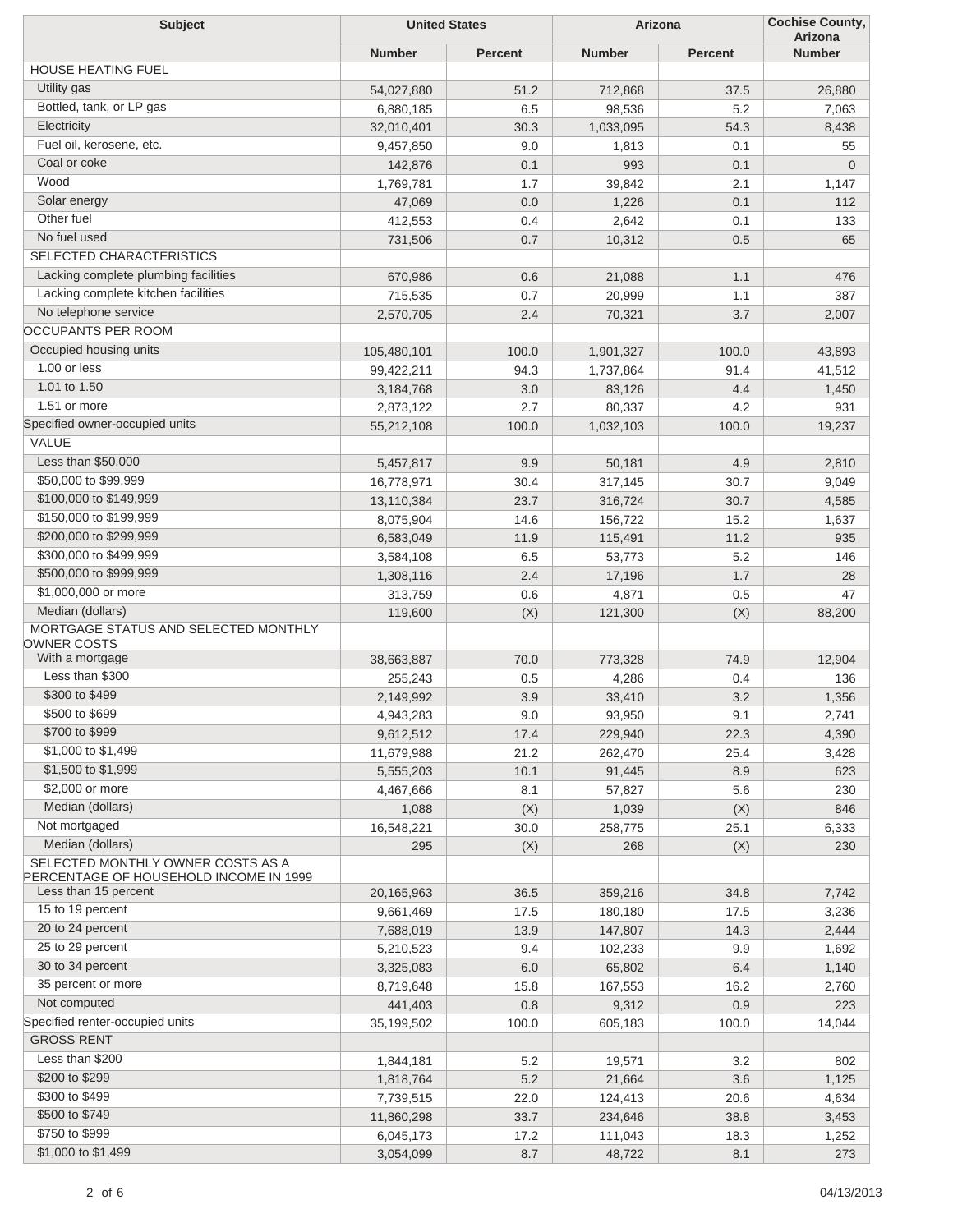| <b>Subject</b>                                                              | <b>United States</b> |         | Arizona       |         | <b>Cochise County,</b><br>Arizona |  |
|-----------------------------------------------------------------------------|----------------------|---------|---------------|---------|-----------------------------------|--|
|                                                                             | <b>Number</b>        | Percent | <b>Number</b> | Percent | <b>Number</b>                     |  |
| <b>HOUSE HEATING FUEL</b>                                                   |                      |         |               |         |                                   |  |
| Utility gas                                                                 | 54,027,880           | 51.2    | 712,868       | 37.5    | 26,880                            |  |
| Bottled, tank, or LP gas                                                    | 6,880,185            | 6.5     | 98,536        | 5.2     | 7,063                             |  |
| Electricity                                                                 | 32,010,401           | 30.3    | 1,033,095     | 54.3    | 8,438                             |  |
| Fuel oil, kerosene, etc.                                                    | 9,457,850            | 9.0     | 1,813         | 0.1     | 55                                |  |
| Coal or coke                                                                | 142,876              | 0.1     | 993           | 0.1     | $\mathbf 0$                       |  |
| Wood                                                                        | 1,769,781            | 1.7     | 39,842        | 2.1     | 1,147                             |  |
| Solar energy                                                                | 47,069               | 0.0     | 1,226         | 0.1     | 112                               |  |
| Other fuel                                                                  | 412,553              | 0.4     | 2,642         | 0.1     | 133                               |  |
| No fuel used                                                                | 731,506              | 0.7     | 10,312        | 0.5     | 65                                |  |
| <b>SELECTED CHARACTERISTICS</b>                                             |                      |         |               |         |                                   |  |
| Lacking complete plumbing facilities                                        | 670,986              | 0.6     | 21,088        | 1.1     | 476                               |  |
| Lacking complete kitchen facilities                                         | 715,535              | 0.7     | 20,999        | 1.1     | 387                               |  |
| No telephone service                                                        | 2,570,705            | 2.4     | 70,321        | 3.7     | 2,007                             |  |
| OCCUPANTS PER ROOM                                                          |                      |         |               |         |                                   |  |
| Occupied housing units                                                      | 105,480,101          | 100.0   | 1,901,327     | 100.0   | 43,893                            |  |
| 1.00 or less                                                                | 99,422,211           | 94.3    | 1,737,864     | 91.4    | 41,512                            |  |
| 1.01 to 1.50                                                                | 3,184,768            | 3.0     | 83,126        | 4.4     | 1,450                             |  |
| 1.51 or more                                                                | 2,873,122            | 2.7     | 80,337        | 4.2     | 931                               |  |
| Specified owner-occupied units                                              | 55,212,108           | 100.0   | 1,032,103     | 100.0   | 19,237                            |  |
| VALUE                                                                       |                      |         |               |         |                                   |  |
| Less than \$50,000                                                          | 5,457,817            | 9.9     | 50,181        | 4.9     | 2,810                             |  |
| \$50,000 to \$99,999                                                        | 16,778,971           | 30.4    | 317,145       | 30.7    | 9,049                             |  |
| \$100,000 to \$149,999                                                      | 13,110,384           | 23.7    | 316,724       | 30.7    | 4,585                             |  |
| \$150,000 to \$199,999                                                      | 8,075,904            | 14.6    | 156,722       | 15.2    | 1,637                             |  |
| \$200,000 to \$299,999                                                      | 6,583,049            | 11.9    | 115,491       | 11.2    | 935                               |  |
| \$300,000 to \$499,999                                                      | 3,584,108            | 6.5     | 53,773        | 5.2     | 146                               |  |
| \$500,000 to \$999,999                                                      |                      | 2.4     |               | 1.7     | 28                                |  |
| \$1,000,000 or more                                                         | 1,308,116            | 0.6     | 17,196        | 0.5     | 47                                |  |
| Median (dollars)                                                            | 313,759              |         | 4,871         |         |                                   |  |
| MORTGAGE STATUS AND SELECTED MONTHLY                                        | 119,600              | (X)     | 121,300       | (X)     | 88,200                            |  |
| OWNER COSTS                                                                 |                      |         |               |         |                                   |  |
| With a mortgage                                                             | 38,663,887           | 70.0    | 773,328       | 74.9    | 12,904                            |  |
| Less than \$300                                                             | 255,243              | 0.5     | 4,286         | 0.4     | 136                               |  |
| \$300 to \$499                                                              | 2,149,992            | 3.9     | 33,410        | 3.2     | 1,356                             |  |
| \$500 to \$699                                                              | 4,943,283            | 9.0     | 93,950        | 9.1     | 2,741                             |  |
| \$700 to \$999                                                              | 9,612,512            | 17.4    | 229,940       | 22.3    | 4,390                             |  |
| \$1,000 to \$1,499                                                          | 11,679,988           | 21.2    | 262,470       | 25.4    | 3,428                             |  |
| \$1,500 to \$1,999                                                          | 5,555,203            | 10.1    | 91,445        | 8.9     | 623                               |  |
| \$2,000 or more                                                             | 4,467,666            | 8.1     | 57,827        | 5.6     | 230                               |  |
| Median (dollars)                                                            | 1,088                | (X)     | 1,039         | (X)     | 846                               |  |
| Not mortgaged                                                               | 16,548,221           | 30.0    | 258,775       | 25.1    | 6,333                             |  |
| Median (dollars)                                                            | 295                  | (X)     | 268           | (X)     | 230                               |  |
| SELECTED MONTHLY OWNER COSTS AS A<br>PERCENTAGE OF HOUSEHOLD INCOME IN 1999 |                      |         |               |         |                                   |  |
| Less than 15 percent                                                        | 20,165,963           | 36.5    | 359,216       | 34.8    | 7,742                             |  |
| 15 to 19 percent                                                            | 9,661,469            | 17.5    | 180,180       | 17.5    | 3,236                             |  |
| 20 to 24 percent                                                            | 7,688,019            | 13.9    | 147,807       | 14.3    | 2,444                             |  |
| 25 to 29 percent                                                            | 5,210,523            | 9.4     | 102,233       | 9.9     | 1,692                             |  |
| 30 to 34 percent                                                            | 3,325,083            | 6.0     | 65,802        | 6.4     | 1,140                             |  |
| 35 percent or more                                                          | 8,719,648            | 15.8    | 167,553       | 16.2    | 2,760                             |  |
| Not computed                                                                | 441,403              | 0.8     | 9,312         | 0.9     | 223                               |  |
| Specified renter-occupied units                                             | 35,199,502           | 100.0   | 605,183       | 100.0   | 14,044                            |  |
| <b>GROSS RENT</b>                                                           |                      |         |               |         |                                   |  |
| Less than \$200                                                             | 1,844,181            | 5.2     | 19,571        | 3.2     | 802                               |  |
| \$200 to \$299                                                              | 1,818,764            | 5.2     | 21,664        | 3.6     | 1,125                             |  |
| \$300 to \$499                                                              | 7,739,515            | 22.0    | 124,413       | 20.6    | 4,634                             |  |
| \$500 to \$749                                                              | 11,860,298           | 33.7    | 234,646       | 38.8    | 3,453                             |  |
| \$750 to \$999                                                              | 6,045,173            | 17.2    | 111,043       | 18.3    | 1,252                             |  |
| \$1,000 to \$1,499                                                          | 3,054,099            | 8.7     | 48,722        | 8.1     | 273                               |  |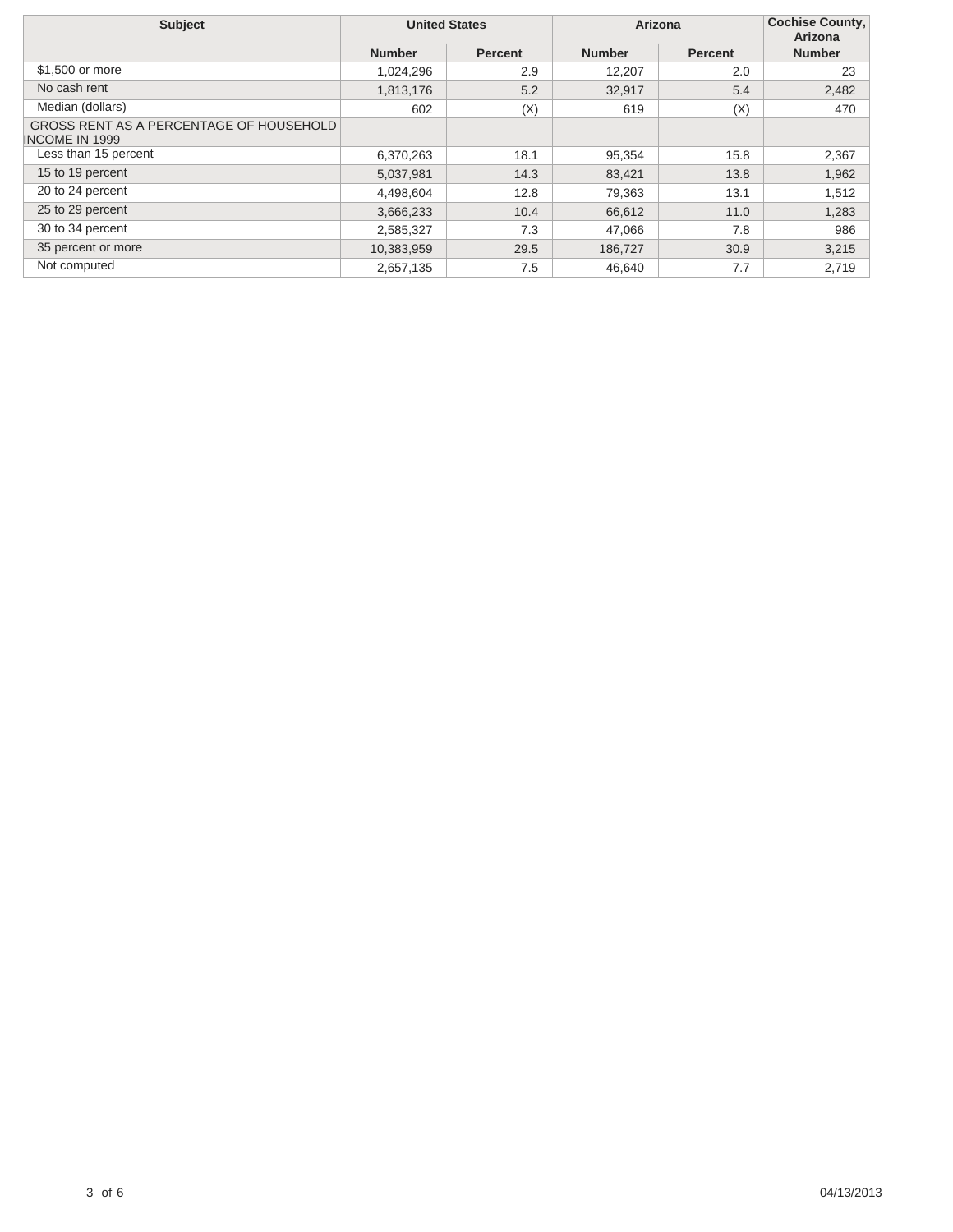| <b>Subject</b>                                                   | <b>United States</b> |                | Arizona       |                | <b>Cochise County,</b><br>Arizona |
|------------------------------------------------------------------|----------------------|----------------|---------------|----------------|-----------------------------------|
|                                                                  | <b>Number</b>        | <b>Percent</b> | <b>Number</b> | <b>Percent</b> | <b>Number</b>                     |
| \$1,500 or more                                                  | 1,024,296            | 2.9            | 12,207        | 2.0            | 23                                |
| No cash rent                                                     | 1,813,176            | 5.2            | 32,917        | 5.4            | 2,482                             |
| Median (dollars)                                                 | 602                  | (X)            | 619           | (X)            | 470                               |
| GROSS RENT AS A PERCENTAGE OF HOUSEHOLD<br><b>INCOME IN 1999</b> |                      |                |               |                |                                   |
| Less than 15 percent                                             | 6,370,263            | 18.1           | 95,354        | 15.8           | 2,367                             |
| 15 to 19 percent                                                 | 5,037,981            | 14.3           | 83,421        | 13.8           | 1,962                             |
| 20 to 24 percent                                                 | 4,498,604            | 12.8           | 79,363        | 13.1           | 1,512                             |
| 25 to 29 percent                                                 | 3,666,233            | 10.4           | 66,612        | 11.0           | 1,283                             |
| 30 to 34 percent                                                 | 2,585,327            | 7.3            | 47,066        | 7.8            | 986                               |
| 35 percent or more                                               | 10,383,959           | 29.5           | 186,727       | 30.9           | 3,215                             |
| Not computed                                                     | 2,657,135            | 7.5            | 46,640        | 7.7            | 2,719                             |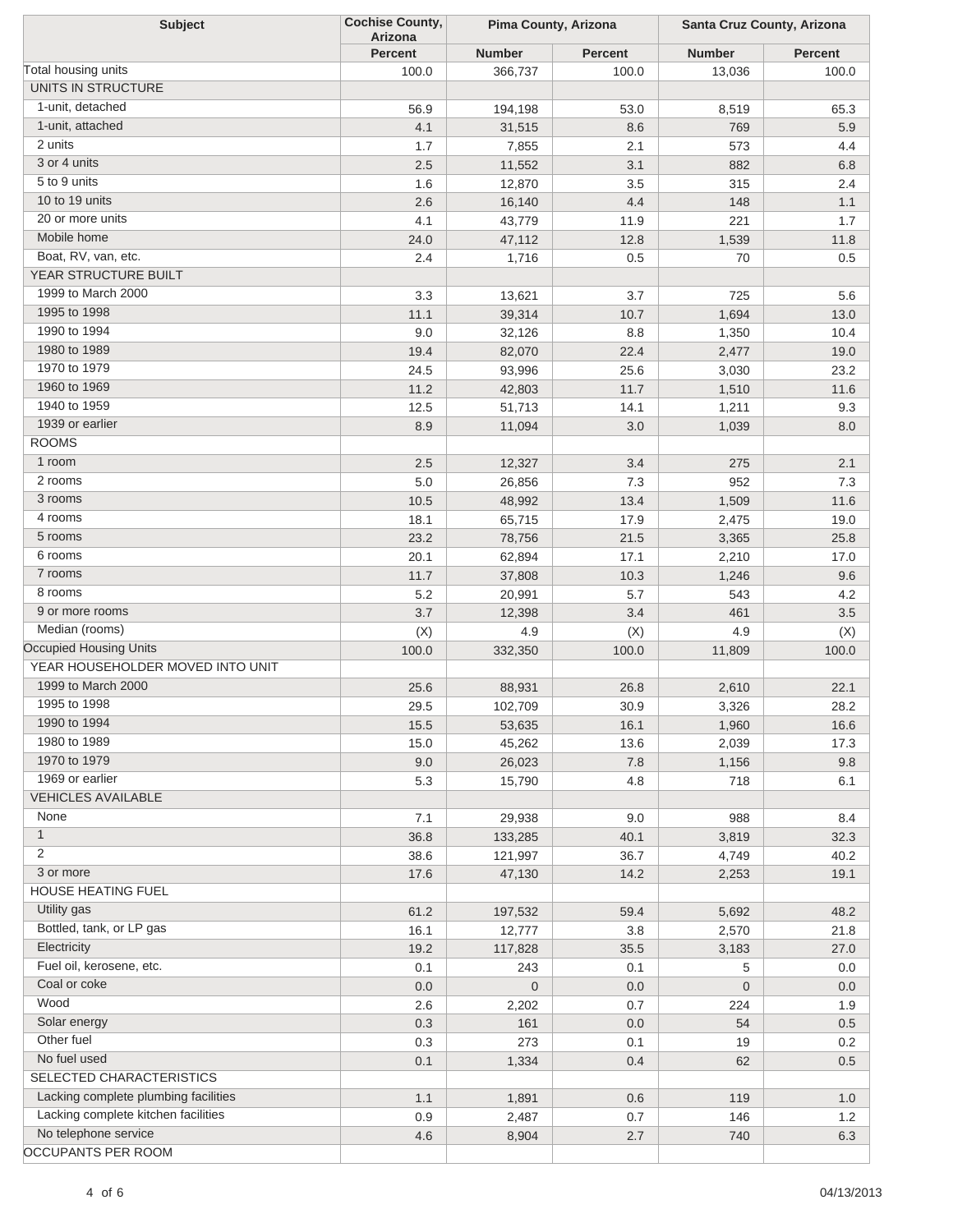| <b>Subject</b>                       | <b>Cochise County,</b><br>Arizona | Pima County, Arizona |                | Santa Cruz County, Arizona |                |
|--------------------------------------|-----------------------------------|----------------------|----------------|----------------------------|----------------|
|                                      | <b>Percent</b>                    | <b>Number</b>        | <b>Percent</b> | <b>Number</b>              | <b>Percent</b> |
| Total housing units                  | 100.0                             | 366,737              | 100.0          | 13,036                     | 100.0          |
| UNITS IN STRUCTURE                   |                                   |                      |                |                            |                |
| 1-unit, detached                     | 56.9                              | 194,198              | 53.0           | 8,519                      | 65.3           |
| 1-unit, attached                     | 4.1                               | 31,515               | 8.6            | 769                        | 5.9            |
| 2 units                              | 1.7                               | 7,855                | 2.1            | 573                        | 4.4            |
| 3 or 4 units                         | 2.5                               | 11,552               | 3.1            | 882                        | 6.8            |
| 5 to 9 units                         | 1.6                               | 12,870               | 3.5            | 315                        | $2.4\,$        |
| 10 to 19 units                       | 2.6                               | 16,140               | 4.4            | 148                        | 1.1            |
| 20 or more units                     | 4.1                               | 43,779               | 11.9           | 221                        | 1.7            |
| Mobile home                          | 24.0                              | 47,112               | 12.8           | 1,539                      | 11.8           |
| Boat, RV, van, etc.                  | 2.4                               | 1,716                | 0.5            | 70                         | 0.5            |
| YEAR STRUCTURE BUILT                 |                                   |                      |                |                            |                |
| 1999 to March 2000                   | 3.3                               | 13,621               | 3.7            | 725                        | 5.6            |
| 1995 to 1998                         | 11.1                              | 39,314               | 10.7           | 1,694                      | 13.0           |
| 1990 to 1994                         | 9.0                               | 32,126               | 8.8            | 1,350                      | 10.4           |
| 1980 to 1989                         | 19.4                              | 82,070               | 22.4           | 2,477                      | 19.0           |
| 1970 to 1979                         | 24.5                              | 93,996               | 25.6           | 3,030                      | 23.2           |
| 1960 to 1969                         | 11.2                              | 42,803               | 11.7           | 1,510                      | 11.6           |
| 1940 to 1959                         | 12.5                              | 51,713               | 14.1           | 1,211                      | 9.3            |
| 1939 or earlier                      | 8.9                               | 11,094               | 3.0            | 1,039                      | 8.0            |
| <b>ROOMS</b>                         |                                   |                      |                |                            |                |
| 1 room                               | 2.5                               | 12,327               | 3.4            | 275                        | 2.1            |
| 2 rooms                              | $5.0\,$                           | 26,856               | 7.3            | 952                        | 7.3            |
| 3 rooms                              | 10.5                              | 48,992               | 13.4           | 1,509                      | 11.6           |
| 4 rooms                              | 18.1                              | 65,715               | 17.9           | 2,475                      | 19.0           |
| 5 rooms                              | 23.2                              | 78,756               | 21.5           | 3,365                      | 25.8           |
| 6 rooms                              | 20.1                              | 62,894               | 17.1           | 2,210                      | 17.0           |
| 7 rooms                              | 11.7                              | 37,808               | 10.3           | 1,246                      | 9.6            |
| 8 rooms                              | 5.2                               | 20,991               | 5.7            | 543                        | 4.2            |
| 9 or more rooms                      | 3.7                               | 12,398               | 3.4            | 461                        | 3.5            |
| Median (rooms)                       | (X)                               | 4.9                  | (X)            | 4.9                        | (X)            |
| <b>Occupied Housing Units</b>        | 100.0                             | 332,350              | 100.0          | 11,809                     | 100.0          |
| YEAR HOUSEHOLDER MOVED INTO UNIT     |                                   |                      |                |                            |                |
| 1999 to March 2000                   | 25.6                              | 88,931               | 26.8           | 2,610                      | 22.1           |
| 1995 to 1998                         | 29.5                              | 102,709              | 30.9           | 3,326                      | 28.2           |
| 1990 to 1994                         | 15.5                              | 53,635               | 16.1           | 1,960                      | 16.6           |
| 1980 to 1989                         | 15.0                              | 45,262               | 13.6           | 2,039                      | 17.3           |
| 1970 to 1979                         | 9.0                               | 26,023               | 7.8            | 1,156                      | 9.8            |
| 1969 or earlier                      | 5.3                               | 15,790               | 4.8            | 718                        | 6.1            |
| <b>VEHICLES AVAILABLE</b>            |                                   |                      |                |                            |                |
| None                                 | 7.1                               | 29,938               | 9.0            | 988                        | 8.4            |
| $\mathbf{1}$                         | 36.8                              | 133,285              | 40.1           | 3,819                      | 32.3           |
| 2                                    | 38.6                              | 121,997              | 36.7           | 4,749                      | 40.2           |
| 3 or more                            | 17.6                              | 47,130               | 14.2           | 2,253                      | 19.1           |
| HOUSE HEATING FUEL                   |                                   |                      |                |                            |                |
| Utility gas                          | 61.2                              | 197,532              | 59.4           | 5,692                      | 48.2           |
| Bottled, tank, or LP gas             | 16.1                              | 12,777               | 3.8            | 2,570                      | 21.8           |
| Electricity                          | 19.2                              | 117,828              | 35.5           | 3,183                      | 27.0           |
| Fuel oil, kerosene, etc.             | 0.1                               | 243                  | 0.1            | 5                          | 0.0            |
| Coal or coke                         | $0.0\,$                           | $\boldsymbol{0}$     | 0.0            | $\mathbf 0$                | 0.0            |
| Wood                                 | 2.6                               | 2,202                | 0.7            | 224                        | 1.9            |
| Solar energy                         | 0.3                               | 161                  | 0.0            | 54                         | 0.5            |
| Other fuel                           | 0.3                               | 273                  | 0.1            | 19                         | 0.2            |
| No fuel used                         | 0.1                               | 1,334                | 0.4            | 62                         | 0.5            |
| SELECTED CHARACTERISTICS             |                                   |                      |                |                            |                |
| Lacking complete plumbing facilities | 1.1                               |                      | 0.6            | 119                        |                |
| Lacking complete kitchen facilities  | 0.9                               | 1,891<br>2,487       | 0.7            | 146                        | 1.0<br>1.2     |
| No telephone service                 | 4.6                               | 8,904                | 2.7            | 740                        | 6.3            |
| OCCUPANTS PER ROOM                   |                                   |                      |                |                            |                |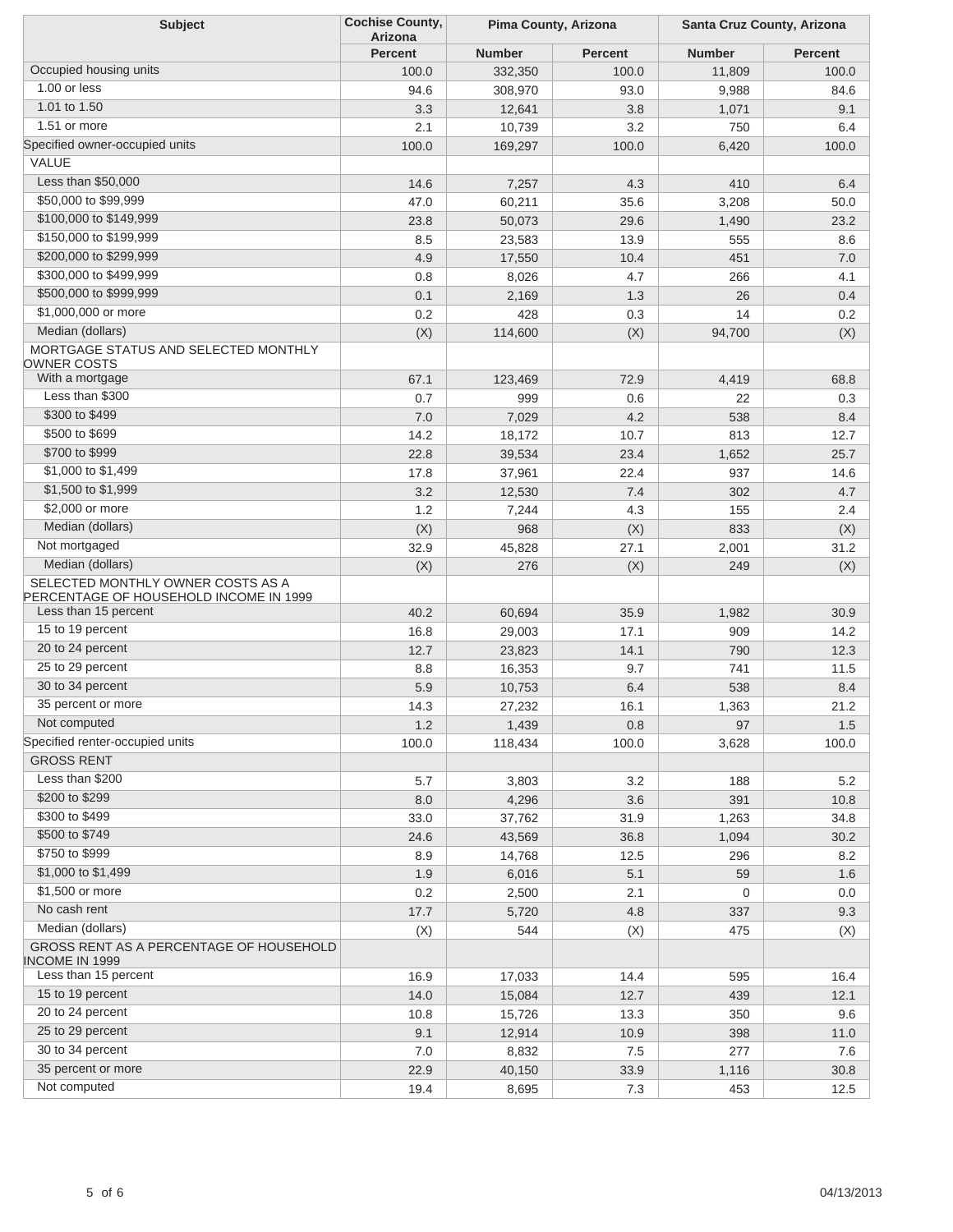| <b>Subject</b>                                                              | <b>Cochise County,</b><br><b>Arizona</b> |               | Pima County, Arizona |               | Santa Cruz County, Arizona |  |
|-----------------------------------------------------------------------------|------------------------------------------|---------------|----------------------|---------------|----------------------------|--|
|                                                                             | <b>Percent</b>                           | <b>Number</b> | <b>Percent</b>       | <b>Number</b> | <b>Percent</b>             |  |
| Occupied housing units                                                      | 100.0                                    | 332,350       | 100.0                | 11,809        | 100.0                      |  |
| 1.00 or less                                                                | 94.6                                     | 308,970       | 93.0                 | 9,988         | 84.6                       |  |
| 1.01 to 1.50                                                                | 3.3                                      | 12,641        | 3.8                  | 1,071         | 9.1                        |  |
| 1.51 or more                                                                | 2.1                                      | 10,739        | 3.2                  | 750           | 6.4                        |  |
| Specified owner-occupied units                                              | 100.0                                    | 169,297       | 100.0                | 6,420         | 100.0                      |  |
| VALUE                                                                       |                                          |               |                      |               |                            |  |
| Less than \$50,000                                                          |                                          |               |                      | 410           |                            |  |
| \$50,000 to \$99,999                                                        | 14.6                                     | 7,257         | 4.3                  |               | 6.4                        |  |
| \$100,000 to \$149,999                                                      | 47.0                                     | 60,211        | 35.6                 | 3,208         | 50.0                       |  |
| \$150,000 to \$199,999                                                      | 23.8                                     | 50,073        | 29.6                 | 1,490         | 23.2                       |  |
| \$200,000 to \$299,999                                                      | 8.5                                      | 23,583        | 13.9                 | 555           | 8.6                        |  |
| \$300,000 to \$499,999                                                      | 4.9                                      | 17,550        | 10.4                 | 451           | 7.0                        |  |
|                                                                             | 0.8                                      | 8,026         | 4.7                  | 266           | 4.1                        |  |
| \$500,000 to \$999,999                                                      | 0.1                                      | 2,169         | 1.3                  | 26            | 0.4                        |  |
| \$1,000,000 or more                                                         | 0.2                                      | 428           | 0.3                  | 14            | 0.2                        |  |
| Median (dollars)                                                            | (X)                                      | 114,600       | (X)                  | 94,700        | (X)                        |  |
| MORTGAGE STATUS AND SELECTED MONTHLY<br>OWNER COSTS<br>With a mortgage      |                                          |               |                      |               |                            |  |
|                                                                             | 67.1                                     | 123,469       | 72.9                 | 4,419         | 68.8                       |  |
| Less than \$300                                                             | 0.7                                      | 999           | 0.6                  | 22            | 0.3                        |  |
| \$300 to \$499                                                              | 7.0                                      | 7,029         | 4.2                  | 538           | 8.4                        |  |
| \$500 to \$699                                                              | 14.2                                     | 18,172        | 10.7                 | 813           | 12.7                       |  |
| \$700 to \$999                                                              | 22.8                                     | 39,534        | 23.4                 | 1,652         | 25.7                       |  |
| \$1,000 to \$1,499                                                          | 17.8                                     | 37,961        | 22.4                 | 937           | 14.6                       |  |
| \$1,500 to \$1,999                                                          | 3.2                                      | 12,530        | 7.4                  | 302           | 4.7                        |  |
| \$2,000 or more                                                             | 1.2                                      | 7,244         | 4.3                  | 155           | 2.4                        |  |
| Median (dollars)                                                            | (X)                                      | 968           | (X)                  | 833           | (X)                        |  |
| Not mortgaged                                                               | 32.9                                     | 45,828        | 27.1                 | 2,001         | 31.2                       |  |
| Median (dollars)                                                            | (X)                                      | 276           | (X)                  | 249           | (X)                        |  |
| SELECTED MONTHLY OWNER COSTS AS A<br>PERCENTAGE OF HOUSEHOLD INCOME IN 1999 |                                          |               |                      |               |                            |  |
| Less than 15 percent                                                        | 40.2                                     | 60,694        | 35.9                 | 1,982         | 30.9                       |  |
| 15 to 19 percent                                                            | 16.8                                     | 29,003        | 17.1                 | 909           | 14.2                       |  |
| 20 to 24 percent                                                            | 12.7                                     | 23,823        | 14.1                 | 790           | 12.3                       |  |
| 25 to 29 percent                                                            | 8.8                                      | 16,353        | 9.7                  | 741           | 11.5                       |  |
| 30 to 34 percent                                                            | 5.9                                      | 10,753        | 6.4                  | 538           | 8.4                        |  |
| 35 percent or more                                                          | 14.3                                     | 27,232        | 16.1                 | 1,363         | 21.2                       |  |
| Not computed                                                                | 1.2                                      | 1,439         | 0.8                  | 97            | 1.5                        |  |
| Specified renter-occupied units                                             | 100.0                                    | 118,434       | 100.0                | 3,628         | 100.0                      |  |
| <b>GROSS RENT</b>                                                           |                                          |               |                      |               |                            |  |
| Less than \$200                                                             | 5.7                                      | 3,803         | 3.2                  | 188           | 5.2                        |  |
| \$200 to \$299                                                              | 8.0                                      | 4,296         | 3.6                  | 391           | 10.8                       |  |
| \$300 to \$499                                                              | 33.0                                     | 37,762        | 31.9                 | 1,263         | 34.8                       |  |
| \$500 to \$749                                                              | 24.6                                     | 43,569        | 36.8                 | 1,094         | 30.2                       |  |
| \$750 to \$999                                                              | 8.9                                      | 14,768        | 12.5                 | 296           | 8.2                        |  |
| \$1,000 to \$1,499                                                          | 1.9                                      | 6,016         | 5.1                  | 59            | 1.6                        |  |
| \$1,500 or more                                                             | 0.2                                      | 2,500         | 2.1                  | 0             | 0.0                        |  |
| No cash rent                                                                | 17.7                                     | 5,720         | 4.8                  | 337           | 9.3                        |  |
| Median (dollars)                                                            | (X)                                      | 544           | (X)                  | 475           | (X)                        |  |
| GROSS RENT AS A PERCENTAGE OF HOUSEHOLD<br><b>INCOME IN 1999</b>            |                                          |               |                      |               |                            |  |
| Less than 15 percent                                                        | 16.9                                     | 17,033        | 14.4                 | 595           | 16.4                       |  |
| 15 to 19 percent                                                            | 14.0                                     | 15,084        | 12.7                 | 439           | 12.1                       |  |
| 20 to 24 percent                                                            | 10.8                                     | 15,726        | 13.3                 | 350           | 9.6                        |  |
| 25 to 29 percent                                                            | 9.1                                      | 12,914        | 10.9                 | 398           | 11.0                       |  |
| 30 to 34 percent                                                            | $7.0$                                    | 8,832         | 7.5                  | 277           | 7.6                        |  |
| 35 percent or more                                                          | 22.9                                     | 40,150        | 33.9                 | 1,116         | 30.8                       |  |
| Not computed                                                                | 19.4                                     | 8,695         | 7.3                  | 453           | 12.5                       |  |